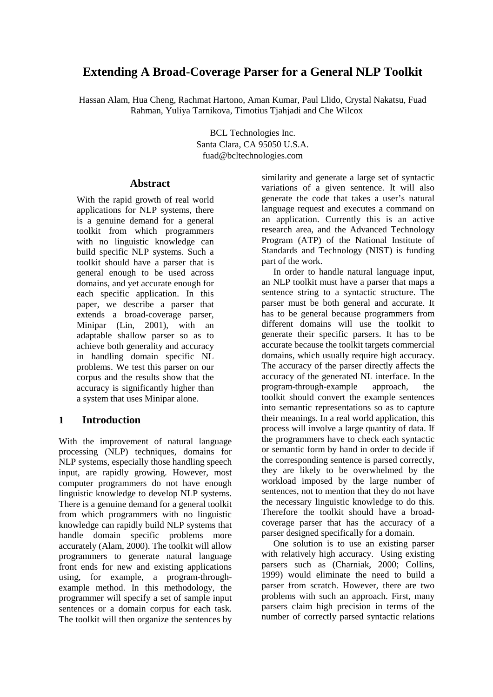# **Extending A Broad-Coverage Parser for a General NLP Toolkit**

Hassan Alam, Hua Cheng, Rachmat Hartono, Aman Kumar, Paul Llido, Crystal Nakatsu, Fuad Rahman, Yuliya Tarnikova, Timotius Tjahjadi and Che Wilcox

> BCL Technologies Inc. Santa Clara, CA 95050 U.S.A. fuad@bcltechnologies.com

#### **Abstract**

With the rapid growth of real world applications for NLP systems, there is a genuine demand for a general toolkit from which programmers with no linguistic knowledge can build specific NLP systems. Such a toolkit should have a parser that is general enough to be used across domains, and yet accurate enough for each specific application. In this paper, we describe a parser that extends a broad-coverage parser, Minipar (Lin, 2001), with an adaptable shallow parser so as to achieve both generality and accuracy in handling domain specific NL problems. We test this parser on our corpus and the results show that the accuracy is significantly higher than a system that uses Minipar alone.

#### **1 Introduction**

With the improvement of natural language processing (NLP) techniques, domains for NLP systems, especially those handling speech input, are rapidly growing. However, most computer programmers do not have enough linguistic knowledge to develop NLP systems. There is a genuine demand for a general toolkit from which programmers with no linguistic knowledge can rapidly build NLP systems that handle domain specific problems more accurately (Alam, 2000). The toolkit will allow programmers to generate natural language front ends for new and existing applications using, for example, a program-throughexample method. In this methodology, the programmer will specify a set of sample input sentences or a domain corpus for each task. The toolkit will then organize the sentences by similarity and generate a large set of syntactic variations of a given sentence. It will also generate the code that takes a user's natural language request and executes a command on an application. Currently this is an active research area, and the Advanced Technology Program (ATP) of the National Institute of Standards and Technology (NIST) is funding part of the work.

In order to handle natural language input, an NLP toolkit must have a parser that maps a sentence string to a syntactic structure. The parser must be both general and accurate. It has to be general because programmers from different domains will use the toolkit to generate their specific parsers. It has to be accurate because the toolkit targets commercial domains, which usually require high accuracy. The accuracy of the parser directly affects the accuracy of the generated NL interface. In the program-through-example approach, the toolkit should convert the example sentences into semantic representations so as to capture their meanings. In a real world application, this process will involve a large quantity of data. If the programmers have to check each syntactic or semantic form by hand in order to decide if the corresponding sentence is parsed correctly, they are likely to be overwhelmed by the workload imposed by the large number of sentences, not to mention that they do not have the necessary linguistic knowledge to do this. Therefore the toolkit should have a broadcoverage parser that has the accuracy of a parser designed specifically for a domain.

One solution is to use an existing parser with relatively high accuracy. Using existing parsers such as (Charniak, 2000; Collins, 1999) would eliminate the need to build a parser from scratch. However, there are two problems with such an approach. First, many parsers claim high precision in terms of the number of correctly parsed syntactic relations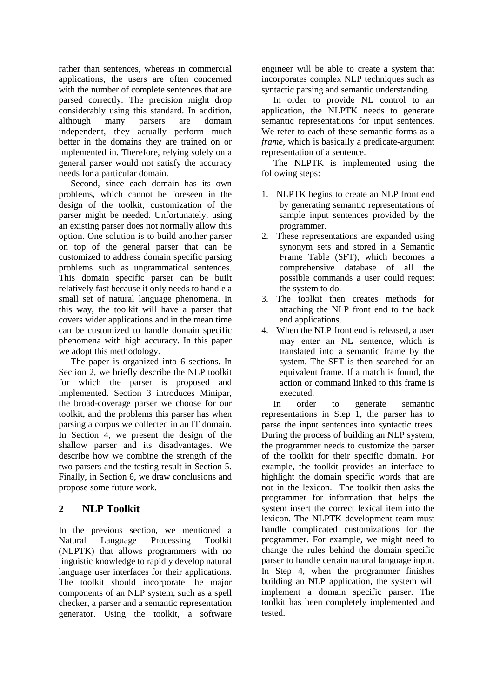rather than sentences, whereas in commercial applications, the users are often concerned with the number of complete sentences that are parsed correctly. The precision might drop considerably using this standard. In addition, although many parsers are domain independent, they actually perform much better in the domains they are trained on or implemented in. Therefore, relying solely on a general parser would not satisfy the accuracy needs for a particular domain.

Second, since each domain has its own problems, which cannot be foreseen in the design of the toolkit, customization of the parser might be needed. Unfortunately, using an existing parser does not normally allow this option. One solution is to build another parser on top of the general parser that can be customized to address domain specific parsing problems such as ungrammatical sentences. This domain specific parser can be built relatively fast because it only needs to handle a small set of natural language phenomena. In this way, the toolkit will have a parser that covers wider applications and in the mean time can be customized to handle domain specific phenomena with high accuracy. In this paper we adopt this methodology.

The paper is organized into 6 sections. In Section 2, we briefly describe the NLP toolkit for which the parser is proposed and implemented. Section 3 introduces Minipar, the broad-coverage parser we choose for our toolkit, and the problems this parser has when parsing a corpus we collected in an IT domain. In Section 4, we present the design of the shallow parser and its disadvantages. We describe how we combine the strength of the two parsers and the testing result in Section 5. Finally, in Section 6, we draw conclusions and propose some future work.

## **2 NLP Toolkit**

In the previous section, we mentioned a Natural Language Processing Toolkit (NLPTK) that allows programmers with no linguistic knowledge to rapidly develop natural language user interfaces for their applications. The toolkit should incorporate the major components of an NLP system, such as a spell checker, a parser and a semantic representation generator. Using the toolkit, a software engineer will be able to create a system that incorporates complex NLP techniques such as syntactic parsing and semantic understanding.

In order to provide NL control to an application, the NLPTK needs to generate semantic representations for input sentences. We refer to each of these semantic forms as a *frame*, which is basically a predicate-argument representation of a sentence.

The NLPTK is implemented using the following steps:

- 1. NLPTK begins to create an NLP front end by generating semantic representations of sample input sentences provided by the programmer.
- 2. These representations are expanded using synonym sets and stored in a Semantic Frame Table (SFT), which becomes a comprehensive database of all the possible commands a user could request the system to do.
- 3. The toolkit then creates methods for attaching the NLP front end to the back end applications.
- 4. When the NLP front end is released, a user may enter an NL sentence, which is translated into a semantic frame by the system. The SFT is then searched for an equivalent frame. If a match is found, the action or command linked to this frame is executed.

In order to generate semantic representations in Step 1, the parser has to parse the input sentences into syntactic trees. During the process of building an NLP system, the programmer needs to customize the parser of the toolkit for their specific domain. For example, the toolkit provides an interface to highlight the domain specific words that are not in the lexicon. The toolkit then asks the programmer for information that helps the system insert the correct lexical item into the lexicon. The NLPTK development team must handle complicated customizations for the programmer. For example, we might need to change the rules behind the domain specific parser to handle certain natural language input. In Step 4, when the programmer finishes building an NLP application, the system will implement a domain specific parser. The toolkit has been completely implemented and tested.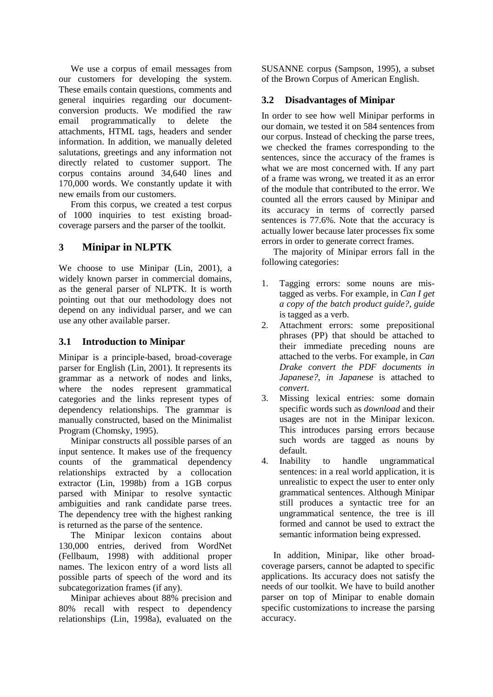We use a corpus of email messages from our customers for developing the system. These emails contain questions, comments and general inquiries regarding our documentconversion products. We modified the raw email programmatically to delete the attachments, HTML tags, headers and sender information. In addition, we manually deleted salutations, greetings and any information not directly related to customer support. The corpus contains around 34,640 lines and 170,000 words. We constantly update it with new emails from our customers.

From this corpus, we created a test corpus of 1000 inquiries to test existing broadcoverage parsers and the parser of the toolkit.

## **3 Minipar in NLPTK**

We choose to use Minipar (Lin, 2001), a widely known parser in commercial domains, as the general parser of NLPTK. It is worth pointing out that our methodology does not depend on any individual parser, and we can use any other available parser.

#### **3.1 Introduction to Minipar**

Minipar is a principle-based, broad-coverage parser for English (Lin, 2001). It represents its grammar as a network of nodes and links, where the nodes represent grammatical categories and the links represent types of dependency relationships. The grammar is manually constructed, based on the Minimalist Program (Chomsky, 1995).

Minipar constructs all possible parses of an input sentence. It makes use of the frequency counts of the grammatical dependency relationships extracted by a collocation extractor (Lin, 1998b) from a 1GB corpus parsed with Minipar to resolve syntactic ambiguities and rank candidate parse trees. The dependency tree with the highest ranking is returned as the parse of the sentence.

The Minipar lexicon contains about 130,000 entries, derived from WordNet (Fellbaum, 1998) with additional proper names. The lexicon entry of a word lists all possible parts of speech of the word and its subcategorization frames (if any).

Minipar achieves about 88% precision and 80% recall with respect to dependency relationships (Lin, 1998a), evaluated on the SUSANNE corpus (Sampson, 1995), a subset of the Brown Corpus of American English.

#### **3.2 Disadvantages of Minipar**

In order to see how well Minipar performs in our domain, we tested it on 584 sentences from our corpus. Instead of checking the parse trees, we checked the frames corresponding to the sentences, since the accuracy of the frames is what we are most concerned with. If any part of a frame was wrong, we treated it as an error of the module that contributed to the error. We counted all the errors caused by Minipar and its accuracy in terms of correctly parsed sentences is 77.6%. Note that the accuracy is actually lower because later processes fix some errors in order to generate correct frames.

The majority of Minipar errors fall in the following categories:

- 1. Tagging errors: some nouns are mistagged as verbs. For example, in *Can I get a copy of the batch product guide?*, *guide* is tagged as a verb.
- 2. Attachment errors: some prepositional phrases (PP) that should be attached to their immediate preceding nouns are attached to the verbs. For example, in *Can Drake convert the PDF documents in Japanese?*, *in Japanese* is attached to *convert*.
- 3. Missing lexical entries: some domain specific words such as *download* and their usages are not in the Minipar lexicon. This introduces parsing errors because such words are tagged as nouns by default.
- 4. Inability to handle ungrammatical sentences: in a real world application, it is unrealistic to expect the user to enter only grammatical sentences. Although Minipar still produces a syntactic tree for an ungrammatical sentence, the tree is ill formed and cannot be used to extract the semantic information being expressed.

In addition, Minipar, like other broadcoverage parsers, cannot be adapted to specific applications. Its accuracy does not satisfy the needs of our toolkit. We have to build another parser on top of Minipar to enable domain specific customizations to increase the parsing accuracy.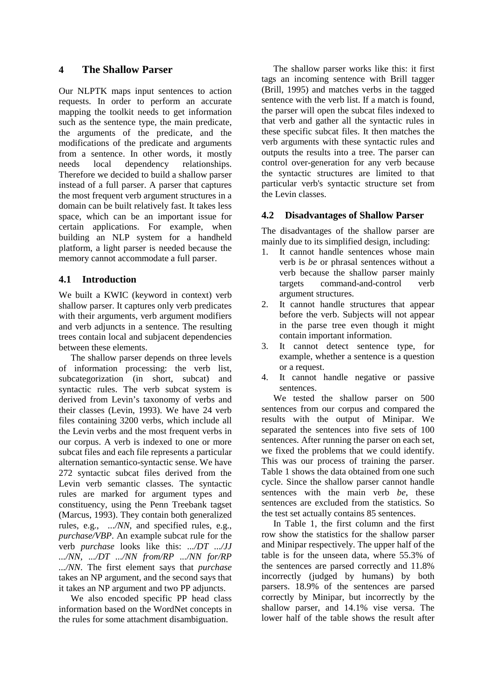### **4 The Shallow Parser**

Our NLPTK maps input sentences to action requests. In order to perform an accurate mapping the toolkit needs to get information such as the sentence type, the main predicate, the arguments of the predicate, and the modifications of the predicate and arguments from a sentence. In other words, it mostly needs local dependency relationships. Therefore we decided to build a shallow parser instead of a full parser. A parser that captures the most frequent verb argument structures in a domain can be built relatively fast. It takes less space, which can be an important issue for certain applications. For example, when building an NLP system for a handheld platform, a light parser is needed because the memory cannot accommodate a full parser.

#### **4.1 Introduction**

We built a KWIC (keyword in context) verb shallow parser. It captures only verb predicates with their arguments, verb argument modifiers and verb adjuncts in a sentence. The resulting trees contain local and subjacent dependencies between these elements.

The shallow parser depends on three levels of information processing: the verb list, subcategorization (in short, subcat) and syntactic rules. The verb subcat system is derived from Levin's taxonomy of verbs and their classes (Levin, 1993). We have 24 verb files containing 3200 verbs, which include all the Levin verbs and the most frequent verbs in our corpus. A verb is indexed to one or more subcat files and each file represents a particular alternation semantico-syntactic sense. We have 272 syntactic subcat files derived from the Levin verb semantic classes. The syntactic rules are marked for argument types and constituency, using the Penn Treebank tagset (Marcus, 1993). They contain both generalized rules, e.g., *.../NN*, and specified rules, e.g., *purchase/VBP*. An example subcat rule for the verb *purchase* looks like this: *.../DT .../JJ .../NN*, *.../DT .../NN from/RP .../NN for/RP .../NN*. The first element says that *purchase* takes an NP argument, and the second says that it takes an NP argument and two PP adjuncts.

We also encoded specific PP head class information based on the WordNet concepts in the rules for some attachment disambiguation.

The shallow parser works like this: it first tags an incoming sentence with Brill tagger (Brill, 1995) and matches verbs in the tagged sentence with the verb list. If a match is found, the parser will open the subcat files indexed to that verb and gather all the syntactic rules in these specific subcat files. It then matches the verb arguments with these syntactic rules and outputs the results into a tree. The parser can control over-generation for any verb because the syntactic structures are limited to that particular verb's syntactic structure set from the Levin classes.

#### **4.2 Disadvantages of Shallow Parser**

The disadvantages of the shallow parser are mainly due to its simplified design, including:

- 1. It cannot handle sentences whose main verb is *be* or phrasal sentences without a verb because the shallow parser mainly targets command-and-control verb argument structures.
- 2. It cannot handle structures that appear before the verb. Subjects will not appear in the parse tree even though it might contain important information.
- 3. It cannot detect sentence type, for example, whether a sentence is a question or a request.
- 4. It cannot handle negative or passive sentences.

We tested the shallow parser on 500 sentences from our corpus and compared the results with the output of Minipar. We separated the sentences into five sets of 100 sentences. After running the parser on each set, we fixed the problems that we could identify. This was our process of training the parser. Table 1 shows the data obtained from one such cycle. Since the shallow parser cannot handle sentences with the main verb *be*, these sentences are excluded from the statistics. So the test set actually contains 85 sentences.

In Table 1, the first column and the first row show the statistics for the shallow parser and Minipar respectively. The upper half of the table is for the unseen data, where 55.3% of the sentences are parsed correctly and 11.8% incorrectly (judged by humans) by both parsers. 18.9% of the sentences are parsed correctly by Minipar, but incorrectly by the shallow parser, and 14.1% vise versa. The lower half of the table shows the result after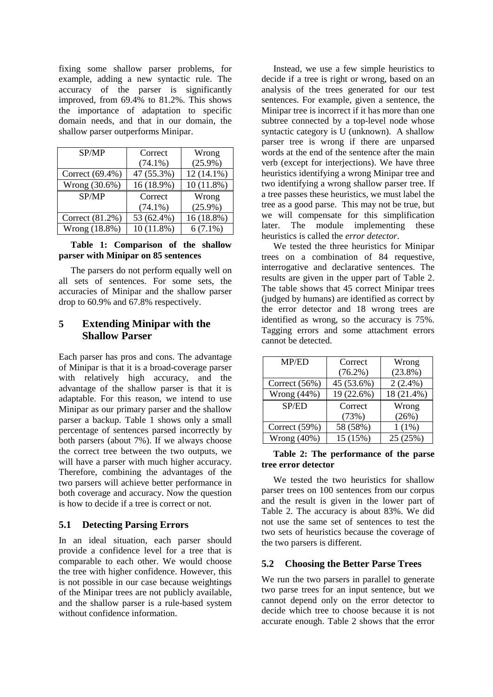fixing some shallow parser problems, for example, adding a new syntactic rule. The accuracy of the parser is significantly improved, from 69.4% to 81.2%. This shows the importance of adaptation to specific domain needs, and that in our domain, the shallow parser outperforms Minipar.

| SP/MP           | Correct      | Wrong        |
|-----------------|--------------|--------------|
|                 | $(74.1\%)$   | $(25.9\%)$   |
| Correct (69.4%) | 47 (55.3%)   | $12(14.1\%)$ |
| Wrong (30.6%)   | 16 (18.9%)   | 10(11.8%)    |
| SP/MP           | Correct      | Wrong        |
|                 | $(74.1\%)$   | $(25.9\%)$   |
| Correct (81.2%) | 53 (62.4%)   | 16 (18.8%)   |
| Wrong (18.8%)   | $10(11.8\%)$ | $6(7.1\%)$   |

#### **Table 1: Comparison of the shallow parser with Minipar on 85 sentences**

The parsers do not perform equally well on all sets of sentences. For some sets, the accuracies of Minipar and the shallow parser drop to 60.9% and 67.8% respectively.

## **5 Extending Minipar with the Shallow Parser**

Each parser has pros and cons. The advantage of Minipar is that it is a broad-coverage parser with relatively high accuracy, and the advantage of the shallow parser is that it is adaptable. For this reason, we intend to use Minipar as our primary parser and the shallow parser a backup. Table 1 shows only a small percentage of sentences parsed incorrectly by both parsers (about 7%). If we always choose the correct tree between the two outputs, we will have a parser with much higher accuracy. Therefore, combining the advantages of the two parsers will achieve better performance in both coverage and accuracy. Now the question is how to decide if a tree is correct or not.

#### **5.1 Detecting Parsing Errors**

In an ideal situation, each parser should provide a confidence level for a tree that is comparable to each other. We would choose the tree with higher confidence. However, this is not possible in our case because weightings of the Minipar trees are not publicly available, and the shallow parser is a rule-based system without confidence information.

Instead, we use a few simple heuristics to decide if a tree is right or wrong, based on an analysis of the trees generated for our test sentences. For example, given a sentence, the Minipar tree is incorrect if it has more than one subtree connected by a top-level node whose syntactic category is U (unknown). A shallow parser tree is wrong if there are unparsed words at the end of the sentence after the main verb (except for interjections). We have three heuristics identifying a wrong Minipar tree and two identifying a wrong shallow parser tree. If a tree passes these heuristics, we must label the tree as a good parse. This may not be true, but we will compensate for this simplification later. The module implementing these heuristics is called the *error detector*.

We tested the three heuristics for Minipar trees on a combination of 84 requestive, interrogative and declarative sentences. The results are given in the upper part of Table 2. The table shows that 45 correct Minipar trees (judged by humans) are identified as correct by the error detector and 18 wrong trees are identified as wrong, so the accuracy is 75%. Tagging errors and some attachment errors cannot be detected.

| MP/ED           | Correct    | Wrong      |
|-----------------|------------|------------|
|                 | $(76.2\%)$ | $(23.8\%)$ |
| Correct $(56%)$ | 45 (53.6%) | $2(2.4\%)$ |
| Wrong $(44\%)$  | 19 (22.6%) | 18 (21.4%) |
| SP/ED           | Correct    | Wrong      |
|                 | (73%)      | (26%)      |
| Correct (59%)   | 58 (58%)   | $1(1\%)$   |
| Wrong $(40\%)$  | 15 (15%)   | 25 (25%)   |

#### **Table 2: The performance of the parse tree error detector**

We tested the two heuristics for shallow parser trees on 100 sentences from our corpus and the result is given in the lower part of Table 2. The accuracy is about 83%. We did not use the same set of sentences to test the two sets of heuristics because the coverage of the two parsers is different.

#### **5.2 Choosing the Better Parse Trees**

We run the two parsers in parallel to generate two parse trees for an input sentence, but we cannot depend only on the error detector to decide which tree to choose because it is not accurate enough. Table 2 shows that the error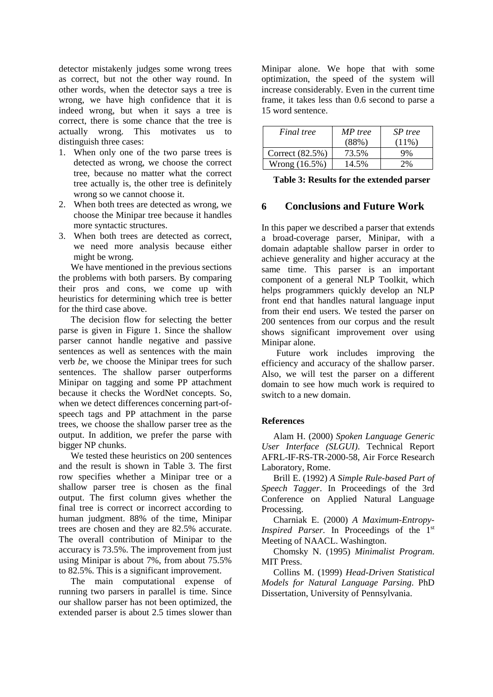detector mistakenly judges some wrong trees as correct, but not the other way round. In other words, when the detector says a tree is wrong, we have high confidence that it is indeed wrong, but when it says a tree is correct, there is some chance that the tree is actually wrong. This motivates us to distinguish three cases:

- 1. When only one of the two parse trees is detected as wrong, we choose the correct tree, because no matter what the correct tree actually is, the other tree is definitely wrong so we cannot choose it.
- 2. When both trees are detected as wrong, we choose the Minipar tree because it handles more syntactic structures.
- 3. When both trees are detected as correct, we need more analysis because either might be wrong.

We have mentioned in the previous sections the problems with both parsers. By comparing their pros and cons, we come up with heuristics for determining which tree is better for the third case above.

The decision flow for selecting the better parse is given in Figure 1. Since the shallow parser cannot handle negative and passive sentences as well as sentences with the main verb *be*, we choose the Minipar trees for such sentences. The shallow parser outperforms Minipar on tagging and some PP attachment because it checks the WordNet concepts. So, when we detect differences concerning part-ofspeech tags and PP attachment in the parse trees, we choose the shallow parser tree as the output. In addition, we prefer the parse with bigger NP chunks.

We tested these heuristics on 200 sentences and the result is shown in Table 3. The first row specifies whether a Minipar tree or a shallow parser tree is chosen as the final output. The first column gives whether the final tree is correct or incorrect according to human judgment. 88% of the time, Minipar trees are chosen and they are 82.5% accurate. The overall contribution of Minipar to the accuracy is 73.5%. The improvement from just using Minipar is about 7%, from about 75.5% to 82.5%. This is a significant improvement.

The main computational expense of running two parsers in parallel is time. Since our shallow parser has not been optimized, the extended parser is about 2.5 times slower than

Minipar alone. We hope that with some optimization, the speed of the system will increase considerably. Even in the current time frame, it takes less than 0.6 second to parse a 15 word sentence.

| Final tree      | MP tree<br>$(88\%)$ | SP tree<br>$(11\%)$ |
|-----------------|---------------------|---------------------|
| Correct (82.5%) | 73.5%               | 9%                  |
| Wrong $(16.5%)$ | 14.5%               | 7%                  |

**Table 3: Results for the extended parser** 

#### **6 Conclusions and Future Work**

In this paper we described a parser that extends a broad-coverage parser, Minipar, with a domain adaptable shallow parser in order to achieve generality and higher accuracy at the same time. This parser is an important component of a general NLP Toolkit, which helps programmers quickly develop an NLP front end that handles natural language input from their end users. We tested the parser on 200 sentences from our corpus and the result shows significant improvement over using Minipar alone.

Future work includes improving the efficiency and accuracy of the shallow parser. Also, we will test the parser on a different domain to see how much work is required to switch to a new domain.

#### **References**

Alam H. (2000) *Spoken Language Generic User Interface (SLGUI)*. Technical Report AFRL-IF-RS-TR-2000-58, Air Force Research Laboratory, Rome.

Brill E. (1992) *A Simple Rule-based Part of Speech Tagger*. In Proceedings of the 3rd Conference on Applied Natural Language Processing.

Charniak E. (2000) *A Maximum-Entropy-Inspired Parser.* In Proceedings of the 1<sup>st</sup> Meeting of NAACL. Washington.

Chomsky N. (1995) *Minimalist Program*. MIT Press.

Collins M. (1999) *Head-Driven Statistical Models for Natural Language Parsing*. PhD Dissertation, University of Pennsylvania.